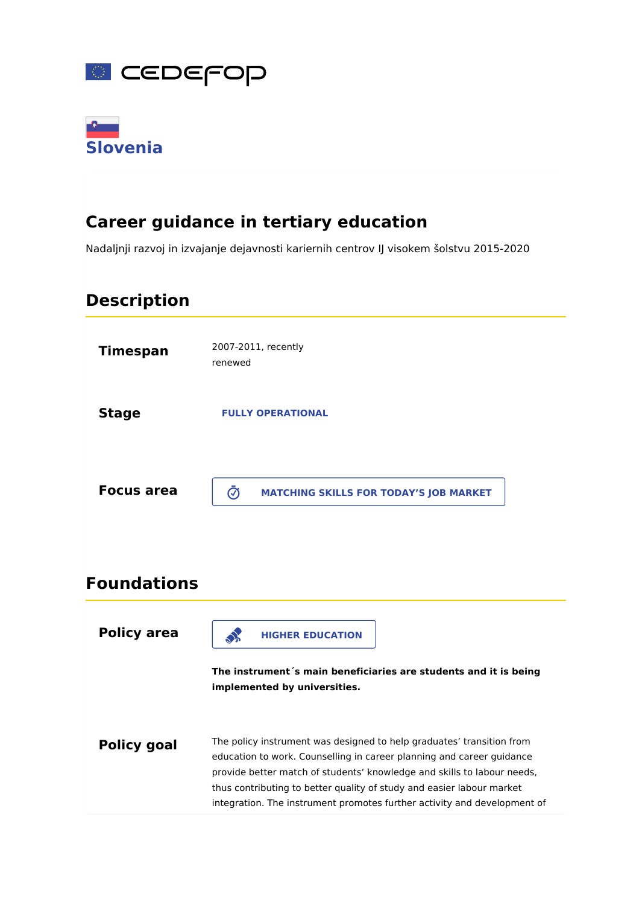



# **Career guidance in tertiary education**

Nadaljnji razvoj in izvajanje dejavnosti kariernih centrov IJ visokem šolstvu 2015-2020

# **Description**



thus contributing to better quality of study and easier labour market integration. The instrument promotes further activity and development of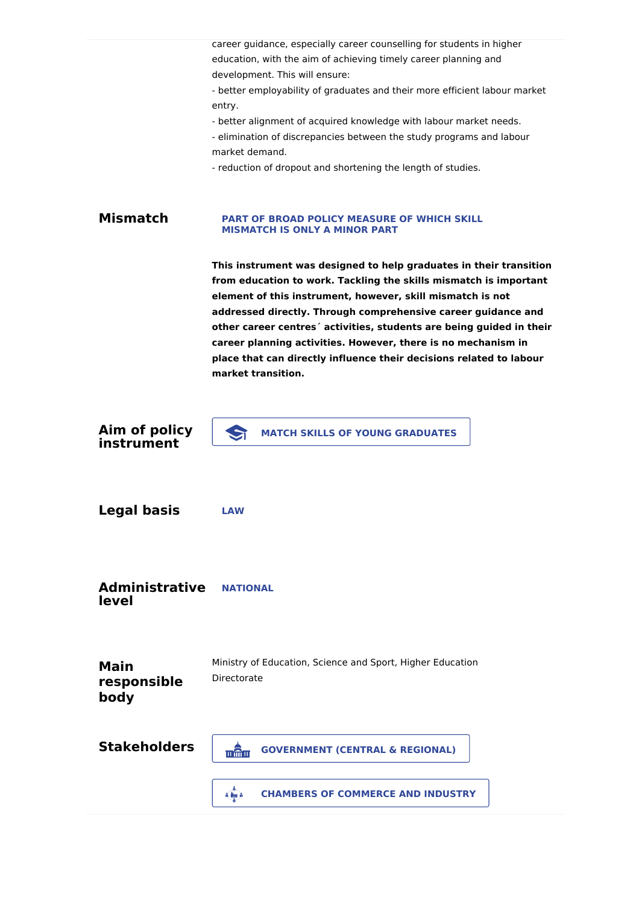|                                    | career guidance, especially career counselling for students in higher<br>education, with the aim of achieving timely career planning and<br>development. This will ensure:                                                                                                                                                                                                                                                                                                                                   |
|------------------------------------|--------------------------------------------------------------------------------------------------------------------------------------------------------------------------------------------------------------------------------------------------------------------------------------------------------------------------------------------------------------------------------------------------------------------------------------------------------------------------------------------------------------|
|                                    | - better employability of graduates and their more efficient labour market<br>entry.                                                                                                                                                                                                                                                                                                                                                                                                                         |
|                                    | - better alignment of acquired knowledge with labour market needs.<br>- elimination of discrepancies between the study programs and labour<br>market demand.                                                                                                                                                                                                                                                                                                                                                 |
|                                    | - reduction of dropout and shortening the length of studies.                                                                                                                                                                                                                                                                                                                                                                                                                                                 |
| <b>Mismatch</b>                    | <b>PART OF BROAD POLICY MEASURE OF WHICH SKILL</b><br><b>MISMATCH IS ONLY A MINOR PART</b>                                                                                                                                                                                                                                                                                                                                                                                                                   |
|                                    | This instrument was designed to help graduates in their transition<br>from education to work. Tackling the skills mismatch is important<br>element of this instrument, however, skill mismatch is not<br>addressed directly. Through comprehensive career guidance and<br>other career centres' activities, students are being guided in their<br>career planning activities. However, there is no mechanism in<br>place that can directly influence their decisions related to labour<br>market transition. |
|                                    |                                                                                                                                                                                                                                                                                                                                                                                                                                                                                                              |
| Aim of policy<br>instrument        | S<br><b>MATCH SKILLS OF YOUNG GRADUATES</b>                                                                                                                                                                                                                                                                                                                                                                                                                                                                  |
|                                    |                                                                                                                                                                                                                                                                                                                                                                                                                                                                                                              |
| <b>Legal basis</b>                 | <b>LAW</b>                                                                                                                                                                                                                                                                                                                                                                                                                                                                                                   |
|                                    |                                                                                                                                                                                                                                                                                                                                                                                                                                                                                                              |
| <b>Administrative</b><br>level     | ΝΑΤΙΟΝΑΙ                                                                                                                                                                                                                                                                                                                                                                                                                                                                                                     |
|                                    |                                                                                                                                                                                                                                                                                                                                                                                                                                                                                                              |
| <b>Main</b><br>responsible<br>body | Ministry of Education, Science and Sport, Higher Education<br>Directorate                                                                                                                                                                                                                                                                                                                                                                                                                                    |
| <b>Stakeholders</b>                | <b>GOVERNMENT (CENTRAL &amp; REGIONAL)</b><br>w@m                                                                                                                                                                                                                                                                                                                                                                                                                                                            |
|                                    | <b>CHAMBERS OF COMMERCE AND INDUSTRY</b><br>$\delta$ in $\delta$                                                                                                                                                                                                                                                                                                                                                                                                                                             |
|                                    |                                                                                                                                                                                                                                                                                                                                                                                                                                                                                                              |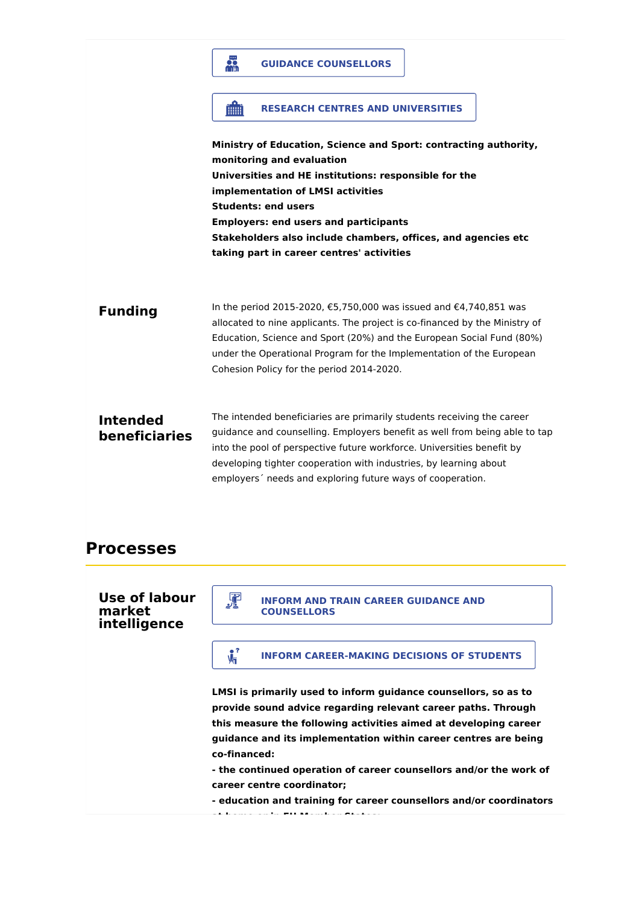# **Ministry of Education, Science and Sport: contracting authority, monitoring and evaluation Universities and HE institutions: responsible for the implementation of LMSI activities Students: end users Employers: end users and participants Stakeholders also include chambers, offices, and agencies etc taking part in career centres' activities Funding** In the period 2015-2020, €5,750,000 was issued and €4,740,851 was allocated to nine applicants. The project is co-financed by the Ministry of Education, Science and Sport (20%) and the European Social Fund (80%) under the Operational Program for the Implementation of the European Cohesion Policy for the period 2014-2020. **Intended beneficiaries** The intended beneficiaries are primarily students receiving the career guidance and counselling. Employers benefit as well from being able to tap into the pool of perspective future workforce. Universities benefit by developing tighter cooperation with industries, by learning about employers´ needs and exploring future ways of cooperation. **GUIDANCE COUNSELLORS RESEARCH CENTRES AND UNIVERSITIES**

## **Processes**

### **Use of labour market intelligence**

# **INFORM AND TRAIN CAREER GUIDANCE AND**<br> **COUNSELLORS**

## **INFORM CAREER-MAKING DECISIONS OF STUDENTS**

**LMSI is primarily used to inform guidance counsellors, so as to provide sound advice regarding relevant career paths. Through this measure the following activities aimed at developing career guidance and its implementation within career centres are being co-financed:**

**- the continued operation of career counsellors and/or the work of career centre coordinator;**

**- education and training for career counsellors and/or coordinators at home or in EU Member States;**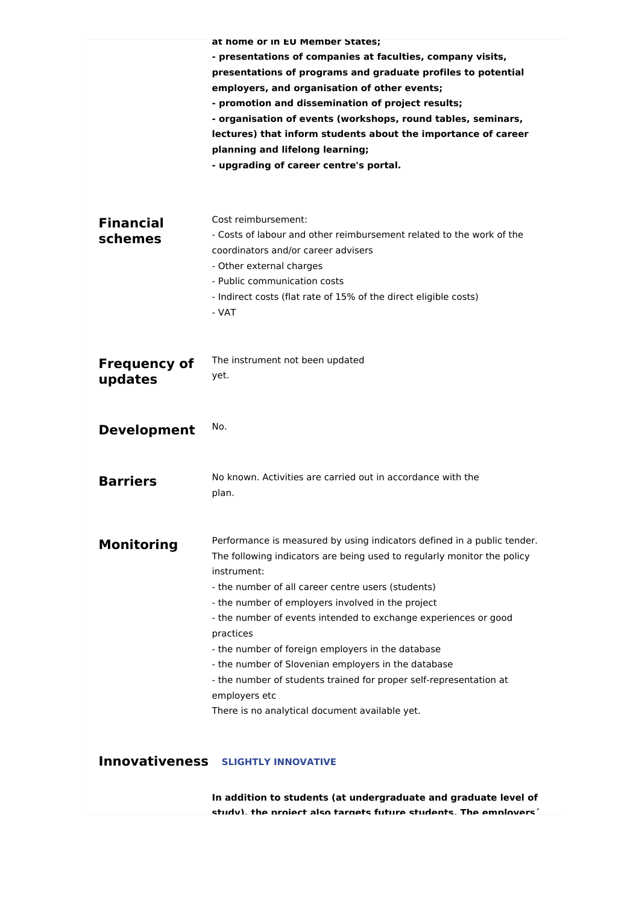|                                | at nome or in EU Member States;<br>- presentations of companies at faculties, company visits,<br>presentations of programs and graduate profiles to potential<br>employers, and organisation of other events;<br>- promotion and dissemination of project results;<br>- organisation of events (workshops, round tables, seminars,<br>lectures) that inform students about the importance of career<br>planning and lifelong learning;<br>- upgrading of career centre's portal.                                                                                                                                  |
|--------------------------------|-------------------------------------------------------------------------------------------------------------------------------------------------------------------------------------------------------------------------------------------------------------------------------------------------------------------------------------------------------------------------------------------------------------------------------------------------------------------------------------------------------------------------------------------------------------------------------------------------------------------|
| <b>Financial</b><br>schemes    | Cost reimbursement:<br>- Costs of labour and other reimbursement related to the work of the<br>coordinators and/or career advisers<br>- Other external charges<br>- Public communication costs<br>- Indirect costs (flat rate of 15% of the direct eligible costs)<br>- VAT                                                                                                                                                                                                                                                                                                                                       |
| <b>Frequency of</b><br>updates | The instrument not been updated<br>yet.                                                                                                                                                                                                                                                                                                                                                                                                                                                                                                                                                                           |
| <b>Development</b>             | No.                                                                                                                                                                                                                                                                                                                                                                                                                                                                                                                                                                                                               |
| <b>Barriers</b>                | No known. Activities are carried out in accordance with the<br>plan.                                                                                                                                                                                                                                                                                                                                                                                                                                                                                                                                              |
| <b>Monitoring</b>              | Performance is measured by using indicators defined in a public tender.<br>The following indicators are being used to regularly monitor the policy<br>instrument:<br>- the number of all career centre users (students)<br>- the number of employers involved in the project<br>- the number of events intended to exchange experiences or good<br>practices<br>- the number of foreign employers in the database<br>- the number of Slovenian employers in the database<br>- the number of students trained for proper self-representation at<br>employers etc<br>There is no analytical document available yet. |
|                                | <b>Innovativeness SLIGHTLY INNOVATIVE</b>                                                                                                                                                                                                                                                                                                                                                                                                                                                                                                                                                                         |

**In addition to students (at undergraduate and graduate level of study), the project also targets future students. The employers´**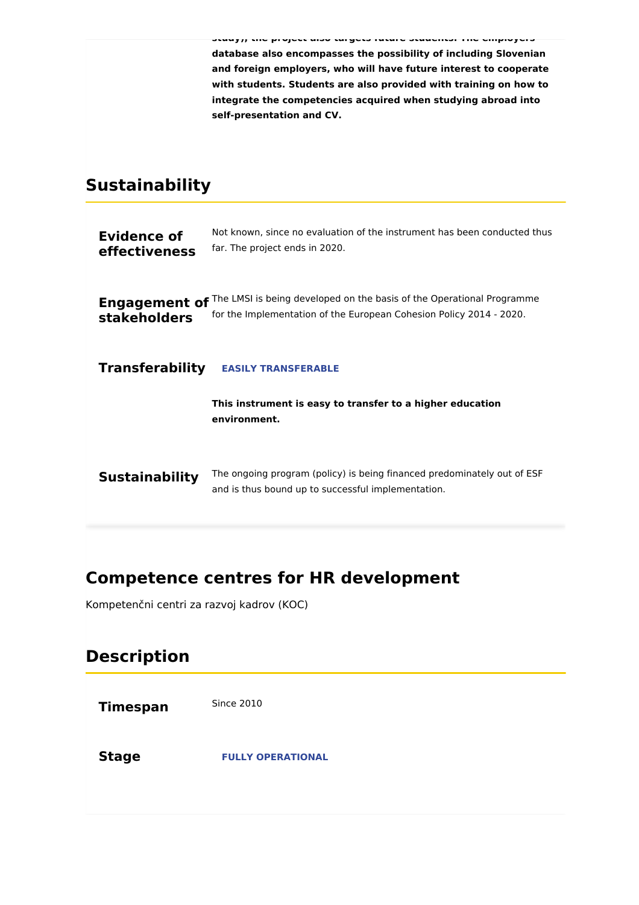**study), the project also targets future students. The employers´ database also encompasses the possibility of including Slovenian and foreign employers, who will have future interest to cooperate with students. Students are also provided with training on how to integrate the competencies acquired when studying abroad into self-presentation and CV.**

# **Sustainability**

| <b>Evidence of</b><br>effectiveness         | Not known, since no evaluation of the instrument has been conducted thus<br>far. The project ends in 2020.                                   |
|---------------------------------------------|----------------------------------------------------------------------------------------------------------------------------------------------|
| <b>Engagement of</b><br><b>stakeholders</b> | The LMSI is being developed on the basis of the Operational Programme<br>for the Implementation of the European Cohesion Policy 2014 - 2020. |
| <b>Transferability</b>                      | <b>EASILY TRANSFERABLE</b>                                                                                                                   |
|                                             |                                                                                                                                              |
|                                             | This instrument is easy to transfer to a higher education<br>environment.                                                                    |
| <b>Sustainability</b>                       | The ongoing program (policy) is being financed predominately out of ESF<br>and is thus bound up to successful implementation.                |

# **Competence centres for HR development**

Kompetenčni centri za razvoj kadrov (KOC)

# **Description**

| <b>Timespan</b> | <b>Since 2010</b>        |
|-----------------|--------------------------|
| <b>Stage</b>    | <b>FULLY OPERATIONAL</b> |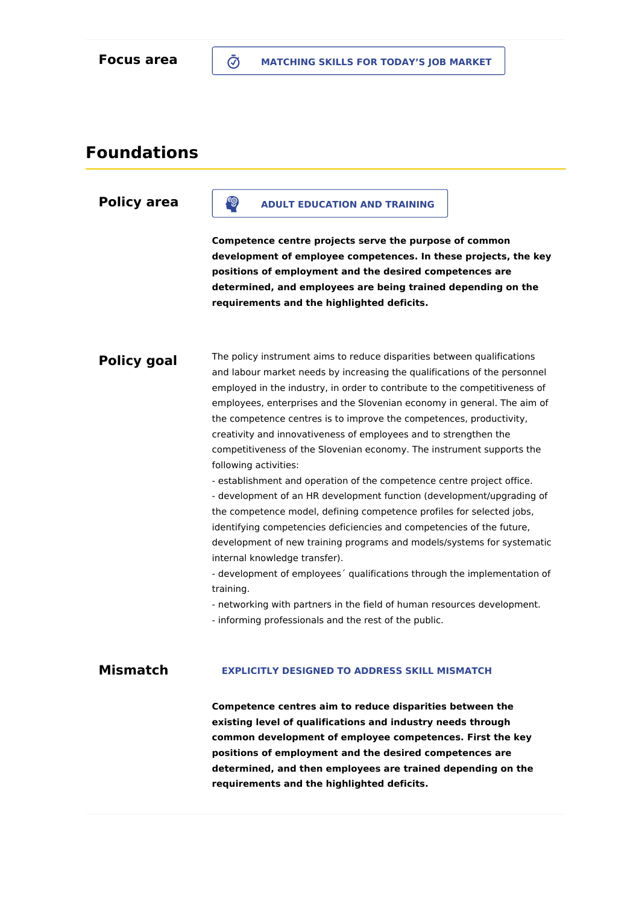## **Foundations**

### **Policy area**

### **ADULT EDUCATION AND TRAINING**

**Competence centre projects serve the purpose of common development of employee competences. In these projects, the key positions of employment and the desired competences are determined, and employees are being trained depending on the requirements and the highlighted deficits.**

### **Policy goal**

The policy instrument aims to reduce disparities between qualifications and labour market needs by increasing the qualifications of the personnel employed in the industry, in order to contribute to the competitiveness of employees, enterprises and the Slovenian economy in general. The aim of the competence centres is to improve the competences, productivity, creativity and innovativeness of employees and to strengthen the competitiveness of the Slovenian economy. The instrument supports the following activities:

- establishment and operation of the competence centre project office. - development of an HR development function (development/upgrading of the competence model, defining competence profiles for selected jobs, identifying competencies deficiencies and competencies of the future, development of new training programs and models/systems for systematic internal knowledge transfer).

- development of employees´ qualifications through the implementation of training.

- networking with partners in the field of human resources development.

- informing professionals and the rest of the public.

#### **Mismatch EXPLICITLY DESIGNED TO ADDRESS SKILL MISMATCH**

**Competence centres aim to reduce disparities between the existing level of qualifications and industry needs through common development of employee competences. First the key positions of employment and the desired competences are determined, and then employees are trained depending on the requirements and the highlighted deficits.**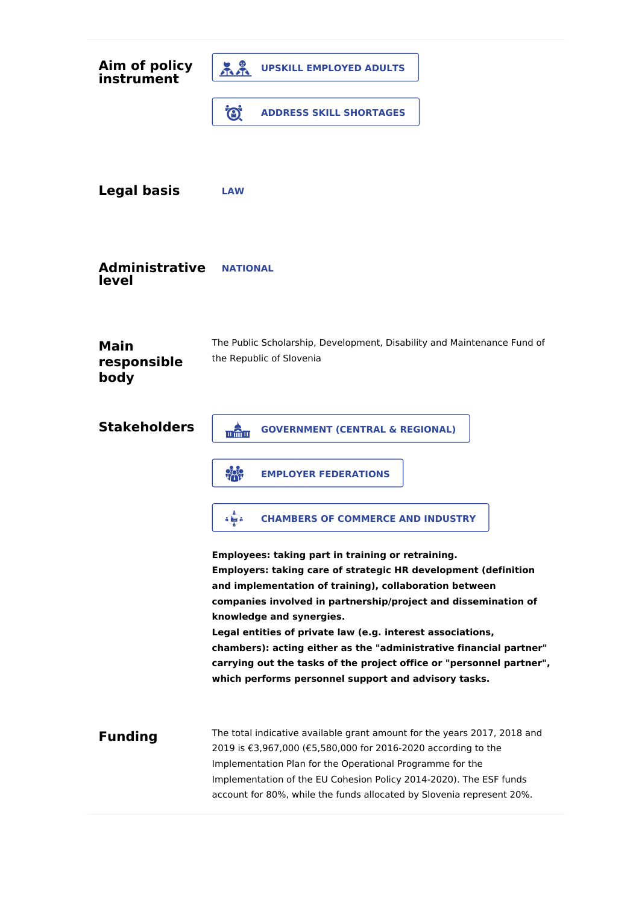| Aim of policy<br>instrument        | ភីភី<br><b>UPSKILL EMPLOYED ADULTS</b>                                                                                                                                                                                                                                                                                                                                                                                                                                                                                                                 |
|------------------------------------|--------------------------------------------------------------------------------------------------------------------------------------------------------------------------------------------------------------------------------------------------------------------------------------------------------------------------------------------------------------------------------------------------------------------------------------------------------------------------------------------------------------------------------------------------------|
|                                    | Ö.<br><b>ADDRESS SKILL SHORTAGES</b>                                                                                                                                                                                                                                                                                                                                                                                                                                                                                                                   |
| <b>Legal basis</b>                 | <b>LAW</b>                                                                                                                                                                                                                                                                                                                                                                                                                                                                                                                                             |
| <b>Administrative</b><br>level     | <b>NATIONAL</b>                                                                                                                                                                                                                                                                                                                                                                                                                                                                                                                                        |
| <b>Main</b><br>responsible<br>body | The Public Scholarship, Development, Disability and Maintenance Fund of<br>the Republic of Slovenia                                                                                                                                                                                                                                                                                                                                                                                                                                                    |
| <b>Stakeholders</b>                | <b>GOVERNMENT (CENTRAL &amp; REGIONAL)</b><br>w@m                                                                                                                                                                                                                                                                                                                                                                                                                                                                                                      |
|                                    | $\frac{1}{2}$<br><b>EMPLOYER FEDERATIONS</b>                                                                                                                                                                                                                                                                                                                                                                                                                                                                                                           |
|                                    | <b>CHAMBERS OF COMMERCE AND INDUSTRY</b><br>o ha o                                                                                                                                                                                                                                                                                                                                                                                                                                                                                                     |
|                                    | Employees: taking part in training or retraining.<br><b>Employers: taking care of strategic HR development (definition</b><br>and implementation of training), collaboration between<br>companies involved in partnership/project and dissemination of<br>knowledge and synergies.<br>Legal entities of private law (e.g. interest associations,<br>chambers): acting either as the "administrative financial partner"<br>carrying out the tasks of the project office or "personnel partner",<br>which performs personnel support and advisory tasks. |
| <b>Funding</b>                     | The total indicative available grant amount for the years 2017, 2018 and<br>2019 is €3,967,000 (€5,580,000 for 2016-2020 according to the<br>Implementation Plan for the Operational Programme for the<br>Implementation of the EU Cohesion Policy 2014-2020). The ESF funds<br>account for 80%, while the funds allocated by Slovenia represent 20%.                                                                                                                                                                                                  |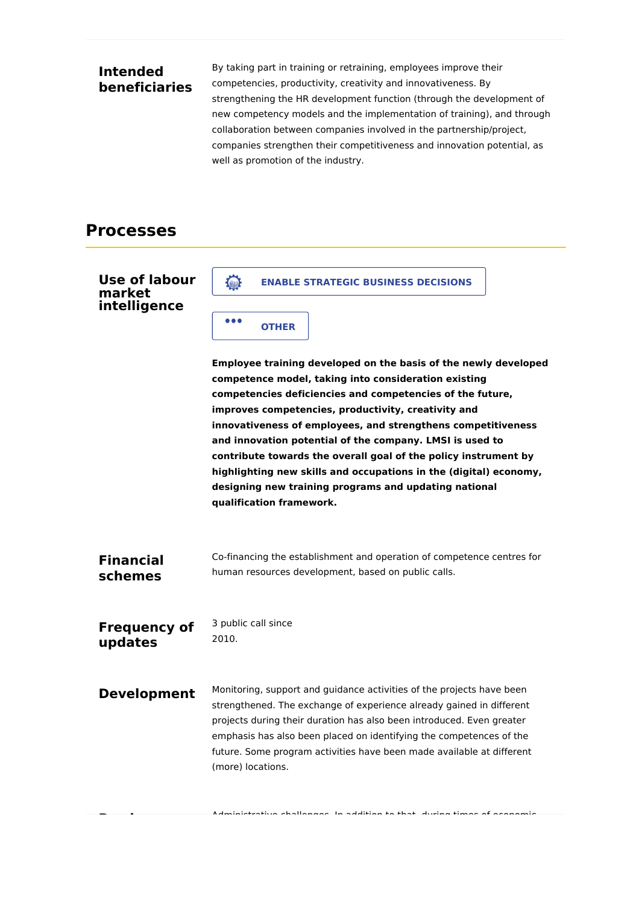### **Intended beneficiaries**

By taking part in training or retraining, employees improve their competencies, productivity, creativity and innovativeness. By strengthening the HR development function (through the development of new competency models and the implementation of training), and through collaboration between companies involved in the partnership/project, companies strengthen their competitiveness and innovation potential, as well as promotion of the industry.

## **Processes**

| <b>Use of labour</b><br>market<br>intelligence | <b>Collage</b><br><b>ENABLE STRATEGIC BUSINESS DECISIONS</b><br>$\bullet\bullet\bullet$<br><b>OTHER</b><br>Employee training developed on the basis of the newly developed<br>competence model, taking into consideration existing<br>competencies deficiencies and competencies of the future,<br>improves competencies, productivity, creativity and<br>innovativeness of employees, and strengthens competitiveness<br>and innovation potential of the company. LMSI is used to<br>contribute towards the overall goal of the policy instrument by<br>highlighting new skills and occupations in the (digital) economy,<br>designing new training programs and updating national<br>qualification framework. |
|------------------------------------------------|-----------------------------------------------------------------------------------------------------------------------------------------------------------------------------------------------------------------------------------------------------------------------------------------------------------------------------------------------------------------------------------------------------------------------------------------------------------------------------------------------------------------------------------------------------------------------------------------------------------------------------------------------------------------------------------------------------------------|
| <b>Financial</b><br>schemes                    | Co-financing the establishment and operation of competence centres for<br>human resources development, based on public calls.                                                                                                                                                                                                                                                                                                                                                                                                                                                                                                                                                                                   |
| <b>Frequency of</b><br>updates                 | 3 public call since<br>2010.                                                                                                                                                                                                                                                                                                                                                                                                                                                                                                                                                                                                                                                                                    |
| <b>Development</b>                             | Monitoring, support and guidance activities of the projects have been<br>strengthened. The exchange of experience already gained in different<br>projects during their duration has also been introduced. Even greater<br>emphasis has also been placed on identifying the competences of the<br>future. Some program activities have been made available at different<br>(more) locations.                                                                                                                                                                                                                                                                                                                     |
|                                                | Administrativa shallangan. In addition to that during times of aconomic                                                                                                                                                                                                                                                                                                                                                                                                                                                                                                                                                                                                                                         |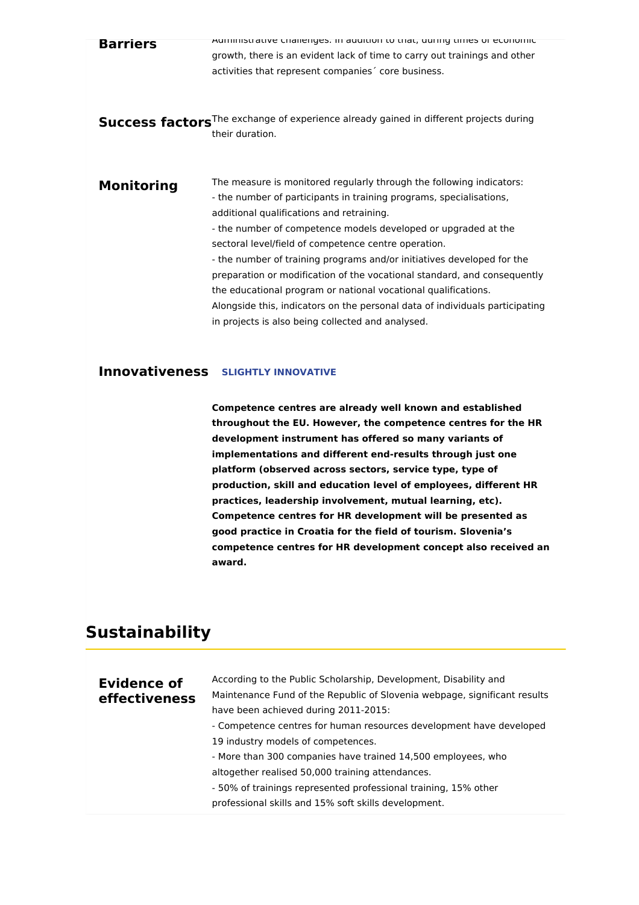| <b>Barriers</b>   | AUTHING AINT CHAIRDINGS. IN AUDITION TO THAT, UNITILY THE STATE CONDITIION<br>growth, there is an evident lack of time to carry out trainings and other<br>activities that represent companies core business.                                                                                                                                                                                                                                                                                                                                                                                                                                                                   |
|-------------------|---------------------------------------------------------------------------------------------------------------------------------------------------------------------------------------------------------------------------------------------------------------------------------------------------------------------------------------------------------------------------------------------------------------------------------------------------------------------------------------------------------------------------------------------------------------------------------------------------------------------------------------------------------------------------------|
|                   | Success factors <sup>The exchange of experience already gained in different projects during</sup><br>their duration.                                                                                                                                                                                                                                                                                                                                                                                                                                                                                                                                                            |
| <b>Monitoring</b> | The measure is monitored regularly through the following indicators:<br>- the number of participants in training programs, specialisations,<br>additional qualifications and retraining.<br>- the number of competence models developed or upgraded at the<br>sectoral level/field of competence centre operation.<br>- the number of training programs and/or initiatives developed for the<br>preparation or modification of the vocational standard, and consequently<br>the educational program or national vocational qualifications.<br>Alongside this, indicators on the personal data of individuals participating<br>in projects is also being collected and analysed. |

### **Innovativeness SLIGHTLY INNOVATIVE**

**Competence centres are already well known and established throughout the EU. However, the competence centres for the HR development instrument has offered so many variants of implementations and different end-results through just one platform (observed across sectors, service type, type of production, skill and education level of employees, different HR practices, leadership involvement, mutual learning, etc). Competence centres for HR development will be presented as good practice in Croatia for the field of tourism. Slovenia's competence centres for HR development concept also received an award.**

## **Sustainability**

| Evidence of<br>effectiveness | According to the Public Scholarship, Development, Disability and<br>Maintenance Fund of the Republic of Slovenia webpage, significant results<br>have been achieved during 2011-2015: |
|------------------------------|---------------------------------------------------------------------------------------------------------------------------------------------------------------------------------------|
|                              | - Competence centres for human resources development have developed                                                                                                                   |
|                              | 19 industry models of competences.                                                                                                                                                    |
|                              | - More than 300 companies have trained 14,500 employees, who                                                                                                                          |
|                              | altogether realised 50,000 training attendances.                                                                                                                                      |
|                              | - 50% of trainings represented professional training, 15% other                                                                                                                       |
|                              | professional skills and 15% soft skills development.                                                                                                                                  |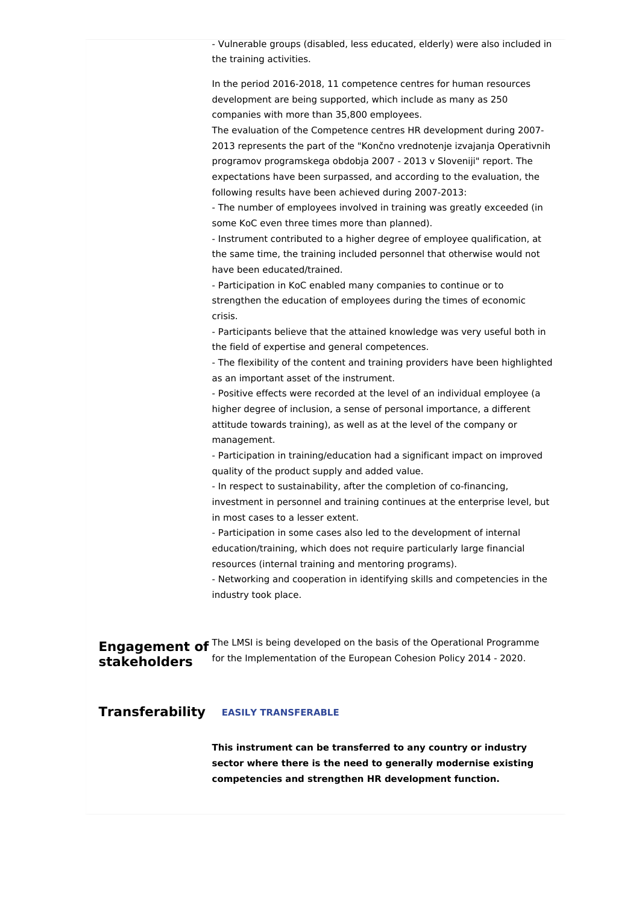- Vulnerable groups (disabled, less educated, elderly) were also included in the training activities.

In the period 2016-2018, 11 competence centres for human resources development are being supported, which include as many as 250 companies with more than 35,800 employees.

The evaluation of the Competence centres HR development during 2007- 2013 represents the part of the "Končno vrednotenje izvajanja Operativnih programov programskega obdobja 2007 - 2013 v Sloveniji" report. The expectations have been surpassed, and according to the evaluation, the following results have been achieved during 2007-2013:

- The number of employees involved in training was greatly exceeded (in some KoC even three times more than planned).

- Instrument contributed to a higher degree of employee qualification, at the same time, the training included personnel that otherwise would not have been educated/trained.

- Participation in KoC enabled many companies to continue or to strengthen the education of employees during the times of economic crisis.

- Participants believe that the attained knowledge was very useful both in the field of expertise and general competences.

- The flexibility of the content and training providers have been highlighted as an important asset of the instrument.

- Positive effects were recorded at the level of an individual employee (a higher degree of inclusion, a sense of personal importance, a different attitude towards training), as well as at the level of the company or management.

- Participation in training/education had a significant impact on improved quality of the product supply and added value.

- In respect to sustainability, after the completion of co-financing, investment in personnel and training continues at the enterprise level, but in most cases to a lesser extent.

- Participation in some cases also led to the development of internal education/training, which does not require particularly large financial resources (internal training and mentoring programs).

- Networking and cooperation in identifying skills and competencies in the industry took place.

**Engagement of** <sup>The LMSI is being developed on the basis of the Operational Programme</sup> **stakeholders** for the Implementation of the European Cohesion Policy 2014 - 2020.

#### **Transferability EASILY TRANSFERABLE**

**This instrument can be transferred to any country or industry sector where there is the need to generally modernise existing competencies and strengthen HR development function.**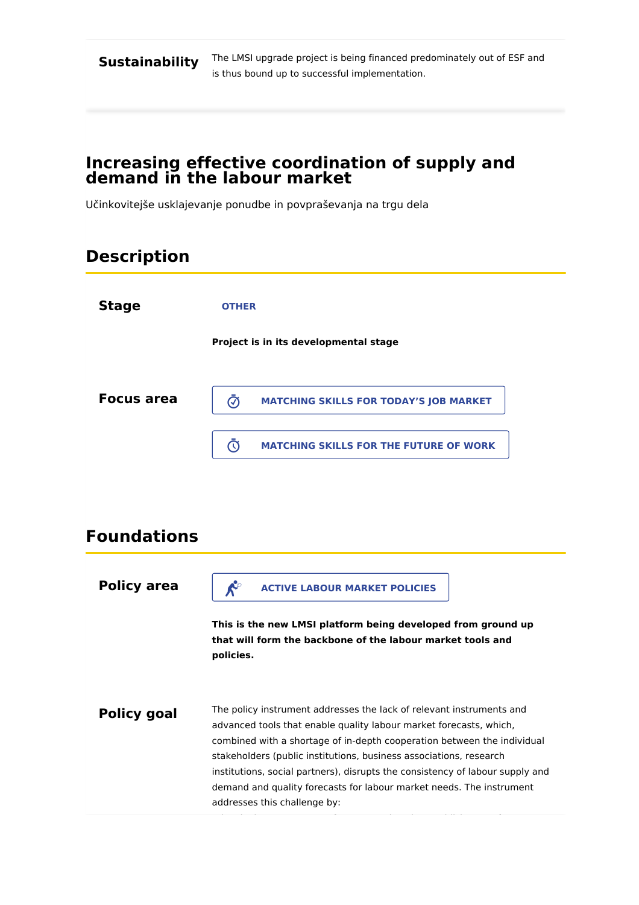**Sustainability**

The LMSI upgrade project is being financed predominately out of ESF and is thus bound up to successful implementation.

### **Increasing effective coordination of supply and demand in the labour market**

Učinkovitejše usklajevanje ponudbe in povpraševanja na trgu dela

# **Description**

| <b>Stage</b>       | <b>OTHER</b>                                                                                                                                                                                                                                                                                                                                                                                                                                                                         |
|--------------------|--------------------------------------------------------------------------------------------------------------------------------------------------------------------------------------------------------------------------------------------------------------------------------------------------------------------------------------------------------------------------------------------------------------------------------------------------------------------------------------|
|                    | Project is in its developmental stage                                                                                                                                                                                                                                                                                                                                                                                                                                                |
| <b>Focus area</b>  | $\bar{\bm{\odot}}$<br><b>MATCHING SKILLS FOR TODAY'S JOB MARKET</b>                                                                                                                                                                                                                                                                                                                                                                                                                  |
|                    | $\bar{\mathbb{O}}$<br><b>MATCHING SKILLS FOR THE FUTURE OF WORK</b>                                                                                                                                                                                                                                                                                                                                                                                                                  |
|                    |                                                                                                                                                                                                                                                                                                                                                                                                                                                                                      |
| <b>Foundations</b> |                                                                                                                                                                                                                                                                                                                                                                                                                                                                                      |
| <b>Policy area</b> | $\mathcal{K}^{\circ}$<br><b>ACTIVE LABOUR MARKET POLICIES</b>                                                                                                                                                                                                                                                                                                                                                                                                                        |
|                    | This is the new LMSI platform being developed from ground up<br>that will form the backbone of the labour market tools and<br>policies.                                                                                                                                                                                                                                                                                                                                              |
| <b>Policy goal</b> | The policy instrument addresses the lack of relevant instruments and<br>advanced tools that enable quality labour market forecasts, which,<br>combined with a shortage of in-depth cooperation between the individual<br>stakeholders (public institutions, business associations, research<br>institutions, social partners), disrupts the consistency of labour supply and<br>demand and quality forecasts for labour market needs. The instrument<br>addresses this challenge by: |

- developing a taxonomy of competencies, the establishment of an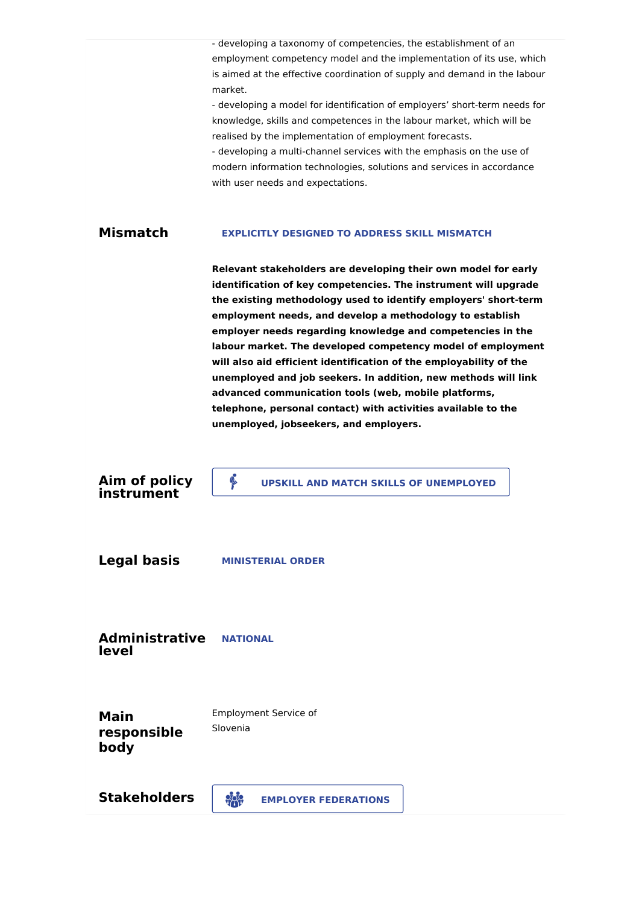|                                    | - developing a taxonomy of competencies, the establishment of an<br>employment competency model and the implementation of its use, which<br>is aimed at the effective coordination of supply and demand in the labour<br>market.<br>- developing a model for identification of employers' short-term needs for<br>knowledge, skills and competences in the labour market, which will be<br>realised by the implementation of employment forecasts.<br>- developing a multi-channel services with the emphasis on the use of<br>modern information technologies, solutions and services in accordance<br>with user needs and expectations.                                                                |
|------------------------------------|----------------------------------------------------------------------------------------------------------------------------------------------------------------------------------------------------------------------------------------------------------------------------------------------------------------------------------------------------------------------------------------------------------------------------------------------------------------------------------------------------------------------------------------------------------------------------------------------------------------------------------------------------------------------------------------------------------|
| <b>Mismatch</b>                    | <b>EXPLICITLY DESIGNED TO ADDRESS SKILL MISMATCH</b>                                                                                                                                                                                                                                                                                                                                                                                                                                                                                                                                                                                                                                                     |
|                                    | Relevant stakeholders are developing their own model for early<br>identification of key competencies. The instrument will upgrade<br>the existing methodology used to identify employers' short-term<br>employment needs, and develop a methodology to establish<br>employer needs regarding knowledge and competencies in the<br>labour market. The developed competency model of employment<br>will also aid efficient identification of the employability of the<br>unemployed and job seekers. In addition, new methods will link<br>advanced communication tools (web, mobile platforms,<br>telephone, personal contact) with activities available to the<br>unemployed, jobseekers, and employers. |
| Aim of policy<br>instrument        | B<br><b>UPSKILL AND MATCH SKILLS OF UNEMPLOYED</b>                                                                                                                                                                                                                                                                                                                                                                                                                                                                                                                                                                                                                                                       |
| <b>Legal basis</b>                 | <b>MINISTERIAL ORDER</b>                                                                                                                                                                                                                                                                                                                                                                                                                                                                                                                                                                                                                                                                                 |
| <b>Administrative</b><br>level     | <b>NATIONAL</b>                                                                                                                                                                                                                                                                                                                                                                                                                                                                                                                                                                                                                                                                                          |
| <b>Main</b><br>responsible<br>body | <b>Employment Service of</b><br>Slovenia                                                                                                                                                                                                                                                                                                                                                                                                                                                                                                                                                                                                                                                                 |
| <b>Stakeholders</b>                | $\frac{1}{2}$<br><b>EMPLOYER FEDERATIONS</b>                                                                                                                                                                                                                                                                                                                                                                                                                                                                                                                                                                                                                                                             |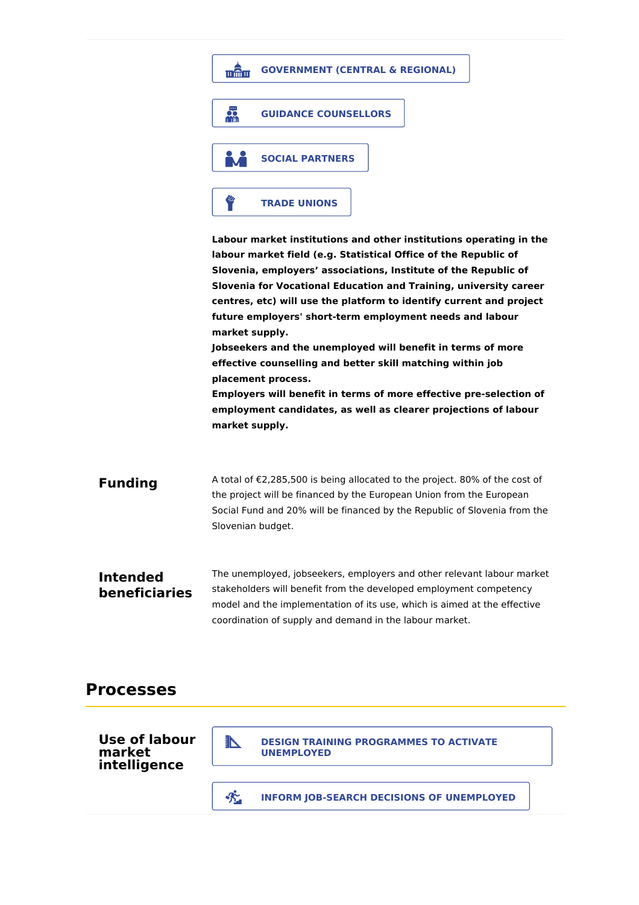|                                  | <b>GOVERNMENT (CENTRAL &amp; REGIONAL)</b><br>min s                                                                                                                                                                                                                                                                                                                                                                                                                                                                                                                                                                                                                        |
|----------------------------------|----------------------------------------------------------------------------------------------------------------------------------------------------------------------------------------------------------------------------------------------------------------------------------------------------------------------------------------------------------------------------------------------------------------------------------------------------------------------------------------------------------------------------------------------------------------------------------------------------------------------------------------------------------------------------|
|                                  | 品<br><b>GUIDANCE COUNSELLORS</b>                                                                                                                                                                                                                                                                                                                                                                                                                                                                                                                                                                                                                                           |
|                                  | <b>SOCIAL PARTNERS</b>                                                                                                                                                                                                                                                                                                                                                                                                                                                                                                                                                                                                                                                     |
|                                  | <b>TRADE UNIONS</b>                                                                                                                                                                                                                                                                                                                                                                                                                                                                                                                                                                                                                                                        |
|                                  | labour market field (e.g. Statistical Office of the Republic of<br>Slovenia, employers' associations, Institute of the Republic of<br>Slovenia for Vocational Education and Training, university career<br>centres, etc) will use the platform to identify current and project<br>future employers' short-term employment needs and labour<br>market supply.<br>Jobseekers and the unemployed will benefit in terms of more<br>effective counselling and better skill matching within job<br>placement process.<br>Employers will benefit in terms of more effective pre-selection of<br>employment candidates, as well as clearer projections of labour<br>market supply. |
| <b>Funding</b>                   | A total of €2,285,500 is being allocated to the project. 80% of the cost of<br>the project will be financed by the European Union from the European<br>Social Fund and 20% will be financed by the Republic of Slovenia from the<br>Slovenian budget.                                                                                                                                                                                                                                                                                                                                                                                                                      |
| <b>Intended</b><br>beneficiaries | The unemployed, jobseekers, employers and other relevant labour market<br>stakeholders will benefit from the developed employment competency<br>model and the implementation of its use, which is aimed at the effective<br>coordination of supply and demand in the labour market.                                                                                                                                                                                                                                                                                                                                                                                        |
| <b>Processes</b>                 |                                                                                                                                                                                                                                                                                                                                                                                                                                                                                                                                                                                                                                                                            |

**Use of labour market intelligence**

**DESIGN TRAINING PROGRAMMES TO ACTIVATE UNEMPLOYED**

**INFORM JOB-SEARCH DECISIONS OF UNEMPLOYED**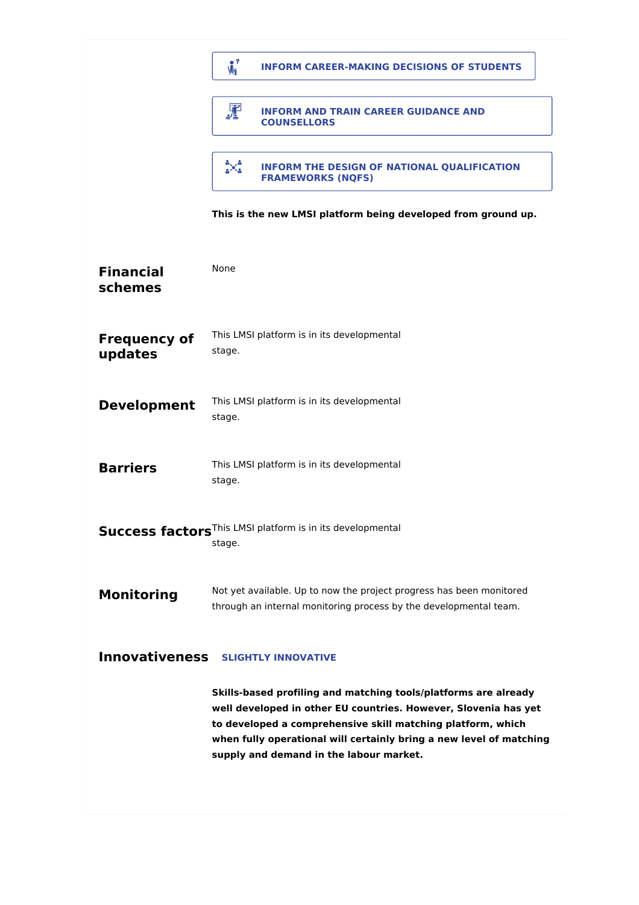|                                                     | $\mathbf{V}_1$<br><b>INFORM CAREER-MAKING DECISIONS OF STUDENTS</b>                                                                                                                                                                                                                                                 |  |
|-----------------------------------------------------|---------------------------------------------------------------------------------------------------------------------------------------------------------------------------------------------------------------------------------------------------------------------------------------------------------------------|--|
|                                                     | 霏<br><b>INFORM AND TRAIN CAREER GUIDANCE AND</b><br><b>COUNSELLORS</b>                                                                                                                                                                                                                                              |  |
|                                                     | X<br>INFORM THE DESIGN OF NATIONAL QUALIFICATION<br><b>FRAMEWORKS (NQFS)</b>                                                                                                                                                                                                                                        |  |
|                                                     | This is the new LMSI platform being developed from ground up.                                                                                                                                                                                                                                                       |  |
| <b>Financial</b><br>schemes                         | <b>None</b>                                                                                                                                                                                                                                                                                                         |  |
| <b>Frequency of</b><br>updates                      | This LMSI platform is in its developmental<br>stage.                                                                                                                                                                                                                                                                |  |
| <b>Development</b>                                  | This LMSI platform is in its developmental<br>stage.                                                                                                                                                                                                                                                                |  |
| <b>Barriers</b>                                     | This LMSI platform is in its developmental<br>stage.                                                                                                                                                                                                                                                                |  |
|                                                     | <b>Success factors</b> This LMSI platform is in its developmental<br>stage.                                                                                                                                                                                                                                         |  |
| <b>Monitoring</b>                                   | Not yet available. Up to now the project progress has been monitored<br>through an internal monitoring process by the developmental team.                                                                                                                                                                           |  |
| <b>Innovativeness</b><br><b>SLIGHTLY INNOVATIVE</b> |                                                                                                                                                                                                                                                                                                                     |  |
|                                                     | Skills-based profiling and matching tools/platforms are already<br>well developed in other EU countries. However, Slovenia has yet<br>to developed a comprehensive skill matching platform, which<br>when fully operational will certainly bring a new level of matching<br>supply and demand in the labour market. |  |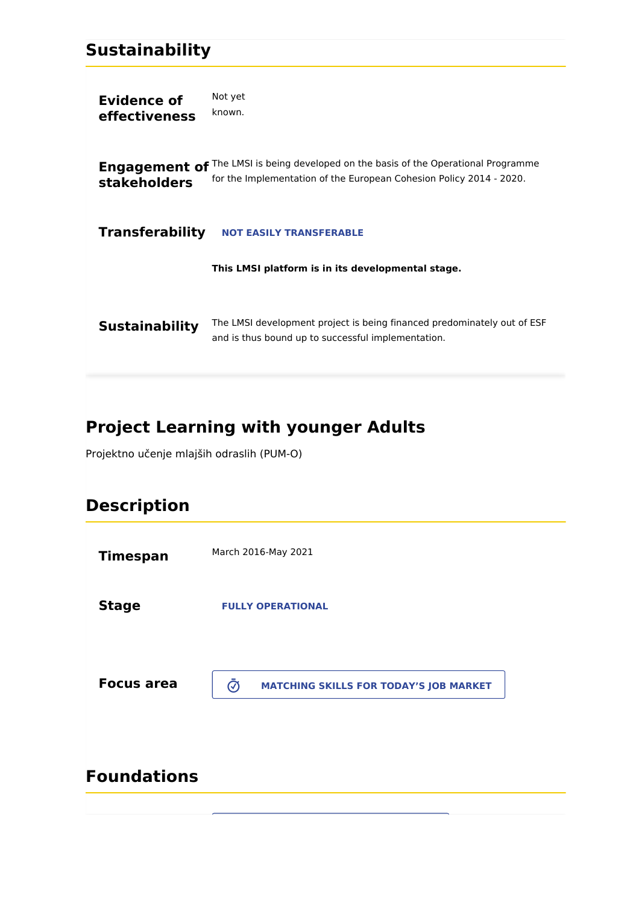## **Sustainability**

**Evidence of effectiveness** Not yet known.

**Engagement of** <sup>The LMSI is being developed on the basis of the Operational Programme</sup> **stakeholders** for the Implementation of the European Cohesion Policy 2014 - 2020.

**Transferability NOT EASILY TRANSFERABLE**

**This LMSI platform is in its developmental stage.**

**Sustainability** The LMSI development project is being financed predominately out of ESF and is thus bound up to successful implementation.

# **Project Learning with younger Adults**

Projektno učenje mlajših odraslih (PUM-O)

# **Description**

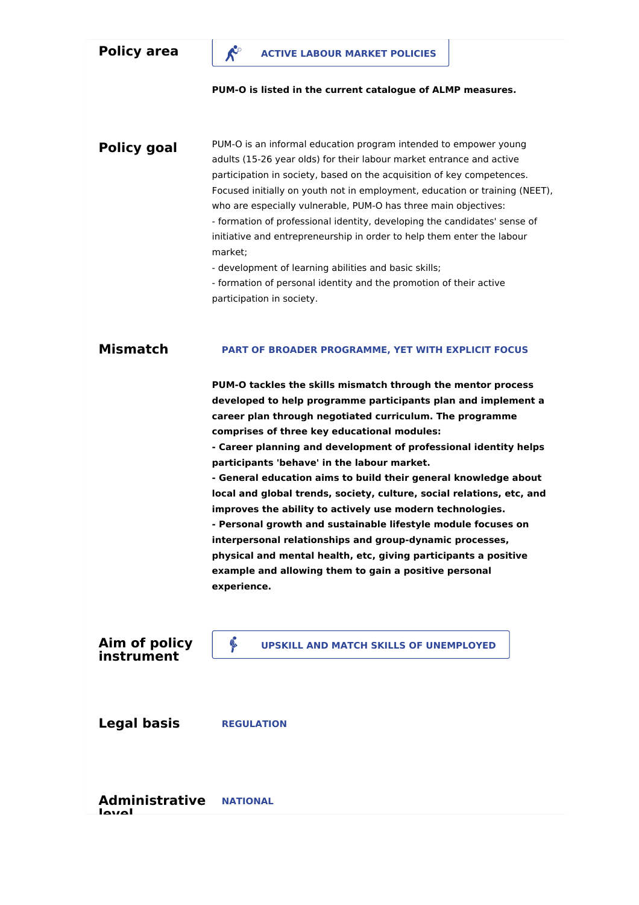**PUM-O is listed in the current catalogue of ALMP measures.**

**Policy goal** PUM-O is an informal education program intended to empower young adults (15-26 year olds) for their labour market entrance and active participation in society, based on the acquisition of key competences. Focused initially on youth not in employment, education or training (NEET), who are especially vulnerable, PUM-O has three main objectives: - formation of professional identity, developing the candidates' sense of initiative and entrepreneurship in order to help them enter the labour market;

- development of learning abilities and basic skills;

- formation of personal identity and the promotion of their active participation in society.

#### **Mismatch PART OF BROADER PROGRAMME, YET WITH EXPLICIT FOCUS**

**PUM-O tackles the skills mismatch through the mentor process developed to help programme participants plan and implement a career plan through negotiated curriculum. The programme comprises of three key educational modules:**

**- Career planning and development of professional identity helps participants 'behave' in the labour market.**

**- General education aims to build their general knowledge about local and global trends, society, culture, social relations, etc, and improves the ability to actively use modern technologies.**

**- Personal growth and sustainable lifestyle module focuses on interpersonal relationships and group-dynamic processes, physical and mental health, etc, giving participants a positive example and allowing them to gain a positive personal experience.**

**Aim of policy instrument**

**UPSKILL AND MATCH SKILLS OF UNEMPLOYED**

**Legal basis REGULATION**

**Administrative level NATIONAL**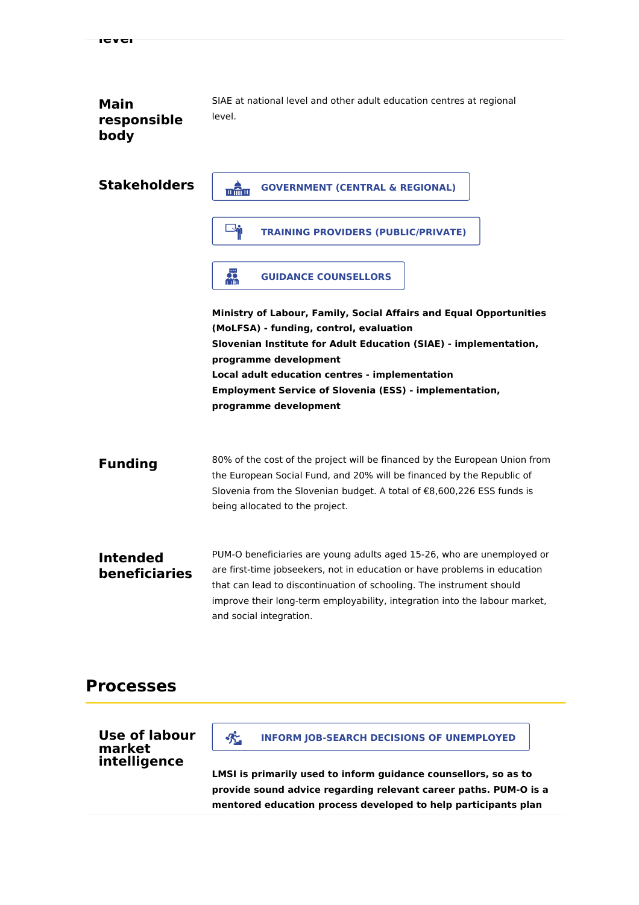#### **Main responsible body** SIAE at national level and other adult education centres at regional level.

| <b>Stakeholders</b>              | mân<br><b>GOVERNMENT (CENTRAL &amp; REGIONAL)</b>                                                                                                                                                                                                                                                                                    |
|----------------------------------|--------------------------------------------------------------------------------------------------------------------------------------------------------------------------------------------------------------------------------------------------------------------------------------------------------------------------------------|
|                                  | $\Box$ in<br><b>TRAINING PROVIDERS (PUBLIC/PRIVATE)</b>                                                                                                                                                                                                                                                                              |
|                                  | 品<br><b>GUIDANCE COUNSELLORS</b>                                                                                                                                                                                                                                                                                                     |
|                                  | Ministry of Labour, Family, Social Affairs and Equal Opportunities<br>(MoLFSA) - funding, control, evaluation                                                                                                                                                                                                                        |
|                                  | Slovenian Institute for Adult Education (SIAE) - implementation,<br>programme development                                                                                                                                                                                                                                            |
|                                  | Local adult education centres - implementation<br><b>Employment Service of Slovenia (ESS) - implementation,</b><br>programme development                                                                                                                                                                                             |
|                                  |                                                                                                                                                                                                                                                                                                                                      |
| <b>Funding</b>                   | 80% of the cost of the project will be financed by the European Union from<br>the European Social Fund, and 20% will be financed by the Republic of<br>Slovenia from the Slovenian budget. A total of €8,600,226 ESS funds is<br>being allocated to the project.                                                                     |
| <b>Intended</b><br>beneficiaries | PUM-O beneficiaries are young adults aged 15-26, who are unemployed or<br>are first-time jobseekers, not in education or have problems in education<br>that can lead to discontinuation of schooling. The instrument should<br>improve their long-term employability, integration into the labour market,<br>and social integration. |

## **Processes**

**Use of labour market intelligence**

**INFORM JOB-SEARCH DECISIONS OF UNEMPLOYED**

**LMSI is primarily used to inform guidance counsellors, so as to provide sound advice regarding relevant career paths. PUM-O is a mentored education process developed to help participants plan**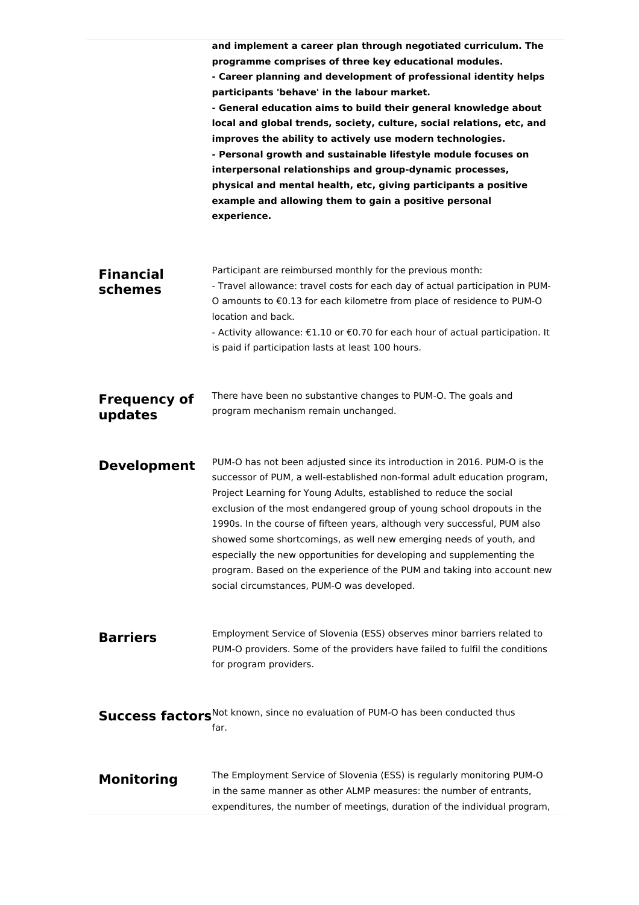|                                | and implement a career plan through negotiated curriculum. The<br>programme comprises of three key educational modules.<br>- Career planning and development of professional identity helps<br>participants 'behave' in the labour market.<br>- General education aims to build their general knowledge about<br>local and global trends, society, culture, social relations, etc, and<br>improves the ability to actively use modern technologies.<br>- Personal growth and sustainable lifestyle module focuses on<br>interpersonal relationships and group-dynamic processes,<br>physical and mental health, etc, giving participants a positive<br>example and allowing them to gain a positive personal<br>experience. |
|--------------------------------|-----------------------------------------------------------------------------------------------------------------------------------------------------------------------------------------------------------------------------------------------------------------------------------------------------------------------------------------------------------------------------------------------------------------------------------------------------------------------------------------------------------------------------------------------------------------------------------------------------------------------------------------------------------------------------------------------------------------------------|
| <b>Financial</b><br>schemes    | Participant are reimbursed monthly for the previous month:<br>- Travel allowance: travel costs for each day of actual participation in PUM-<br>O amounts to €0.13 for each kilometre from place of residence to PUM-O<br>location and back.<br>- Activity allowance: €1.10 or €0.70 for each hour of actual participation. It<br>is paid if participation lasts at least 100 hours.                                                                                                                                                                                                                                                                                                                                         |
| <b>Frequency of</b><br>updates | There have been no substantive changes to PUM-O. The goals and<br>program mechanism remain unchanged.                                                                                                                                                                                                                                                                                                                                                                                                                                                                                                                                                                                                                       |
| <b>Development</b>             | PUM-O has not been adjusted since its introduction in 2016. PUM-O is the<br>successor of PUM, a well-established non-formal adult education program,<br>Project Learning for Young Adults, established to reduce the social<br>exclusion of the most endangered group of young school dropouts in the<br>1990s. In the course of fifteen years, although very successful, PUM also<br>showed some shortcomings, as well new emerging needs of youth, and<br>especially the new opportunities for developing and supplementing the<br>program. Based on the experience of the PUM and taking into account new<br>social circumstances, PUM-O was developed.                                                                  |
| <b>Barriers</b>                | Employment Service of Slovenia (ESS) observes minor barriers related to<br>PUM-O providers. Some of the providers have failed to fulfil the conditions<br>for program providers.                                                                                                                                                                                                                                                                                                                                                                                                                                                                                                                                            |
|                                | Success factors Not known, since no evaluation of PUM-O has been conducted thus<br>far.                                                                                                                                                                                                                                                                                                                                                                                                                                                                                                                                                                                                                                     |
| <b>Monitoring</b>              | The Employment Service of Slovenia (ESS) is regularly monitoring PUM-O<br>in the same manner as other ALMP measures: the number of entrants,<br>expenditures, the number of meetings, duration of the individual program,                                                                                                                                                                                                                                                                                                                                                                                                                                                                                                   |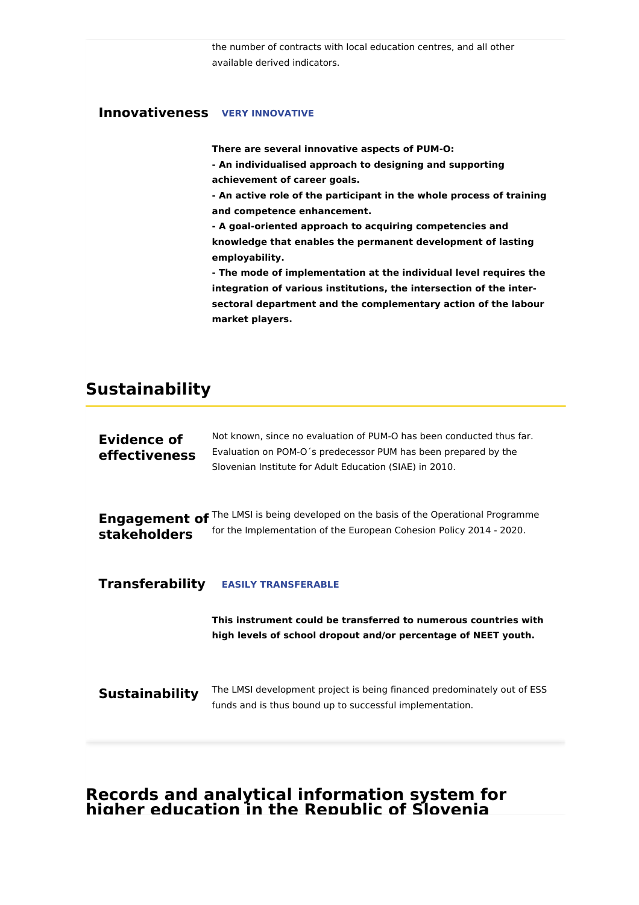the number of contracts with local education centres, and all other available derived indicators.

### **Innovativeness VERY INNOVATIVE**

**There are several innovative aspects of PUM-O:**

**- An individualised approach to designing and supporting achievement of career goals.**

**- An active role of the participant in the whole process of training and competence enhancement.**

**- A goal-oriented approach to acquiring competencies and knowledge that enables the permanent development of lasting employability.**

**- The mode of implementation at the individual level requires the integration of various institutions, the intersection of the intersectoral department and the complementary action of the labour market players.**

## **Sustainability**

| <b>Evidence of</b><br>effectiveness         | Not known, since no evaluation of PUM-O has been conducted thus far.<br>Evaluation on POM-O's predecessor PUM has been prepared by the<br>Slovenian Institute for Adult Education (SIAE) in 2010. |
|---------------------------------------------|---------------------------------------------------------------------------------------------------------------------------------------------------------------------------------------------------|
| <b>Engagement of</b><br><b>stakeholders</b> | The LMSI is being developed on the basis of the Operational Programme<br>for the Implementation of the European Cohesion Policy 2014 - 2020.                                                      |
| <b>Transferability</b>                      | <b>EASILY TRANSFERABLE</b>                                                                                                                                                                        |
|                                             | This instrument could be transferred to numerous countries with<br>high levels of school dropout and/or percentage of NEET youth.                                                                 |
| <b>Sustainability</b>                       | The LMSI development project is being financed predominately out of ESS<br>funds and is thus bound up to successful implementation.                                                               |
|                                             |                                                                                                                                                                                                   |

### **Records and analytical information system for higher education in the Republic of Slovenia**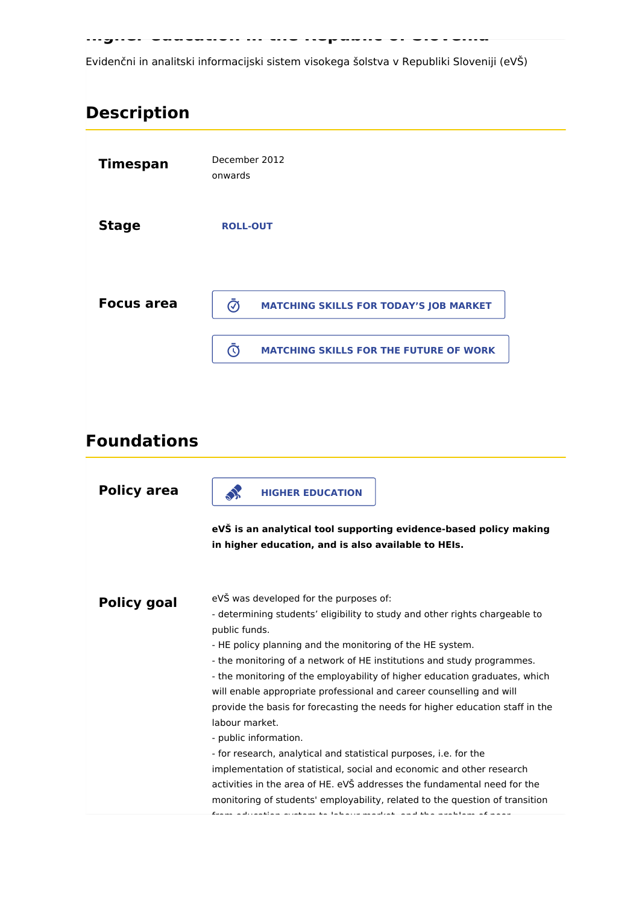**higher education in the Republic of Slovenia**

Evidenčni in analitski informacijski sistem visokega šolstva v Republiki Sloveniji (eVŠ)

# **Description**

| <b>Timespan</b>   | December 2012<br>onwards                                                  |
|-------------------|---------------------------------------------------------------------------|
| <b>Stage</b>      | <b>ROLL-OUT</b>                                                           |
| <b>Focus area</b> | $\bar{\bm{\mathcal{O}}}$<br><b>MATCHING SKILLS FOR TODAY'S JOB MARKET</b> |
|                   | <b>MATCHING SKILLS FOR THE FUTURE OF WORK</b><br>$\mathbb{C}$             |

# **Foundations**

| <b>Policy area</b> | <b>HIGHER EDUCATION</b>                                                                                                                                                                                                                                                                                                                                                                                                                                                                                                                                                                                                                                                                                                                                                                                                                                                                                                                                                                 |
|--------------------|-----------------------------------------------------------------------------------------------------------------------------------------------------------------------------------------------------------------------------------------------------------------------------------------------------------------------------------------------------------------------------------------------------------------------------------------------------------------------------------------------------------------------------------------------------------------------------------------------------------------------------------------------------------------------------------------------------------------------------------------------------------------------------------------------------------------------------------------------------------------------------------------------------------------------------------------------------------------------------------------|
|                    | eVŠ is an analytical tool supporting evidence-based policy making<br>in higher education, and is also available to HEIs.                                                                                                                                                                                                                                                                                                                                                                                                                                                                                                                                                                                                                                                                                                                                                                                                                                                                |
| <b>Policy goal</b> | eVŠ was developed for the purposes of:<br>- determining students' eligibility to study and other rights chargeable to<br>public funds.<br>- HE policy planning and the monitoring of the HE system.<br>- the monitoring of a network of HE institutions and study programmes.<br>- the monitoring of the employability of higher education graduates, which<br>will enable appropriate professional and career counselling and will<br>provide the basis for forecasting the needs for higher education staff in the<br>labour market.<br>- public information.<br>- for research, analytical and statistical purposes, i.e. for the<br>implementation of statistical, social and economic and other research<br>activities in the area of HE. eVŠ addresses the fundamental need for the<br>monitoring of students' employability, related to the question of transition<br>فالمستحيل فالمستقل والمستحدث المتعاط والمستعمل والمستحدث والمستحدث والمستحدث والمستحدث والمستحدث والمستحدث |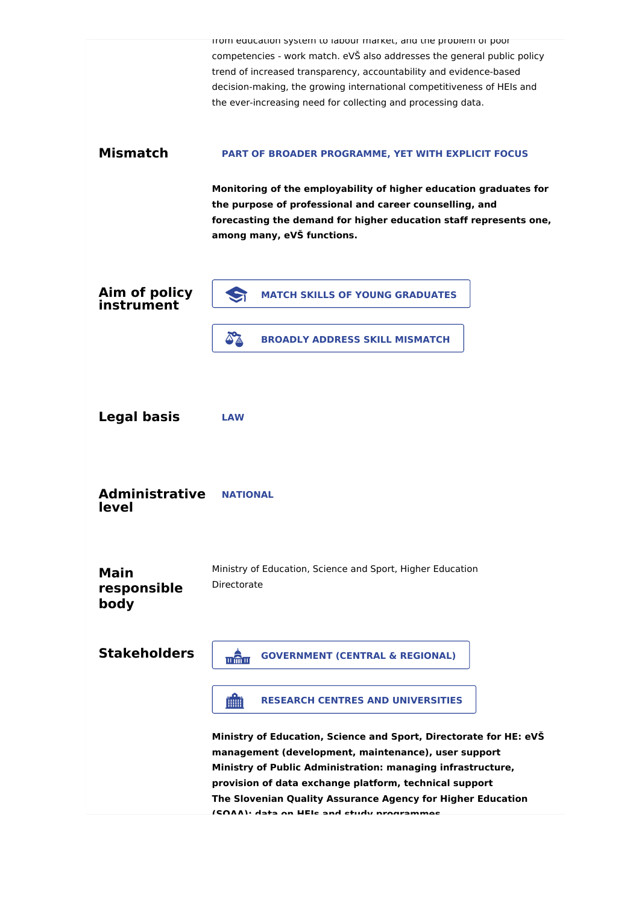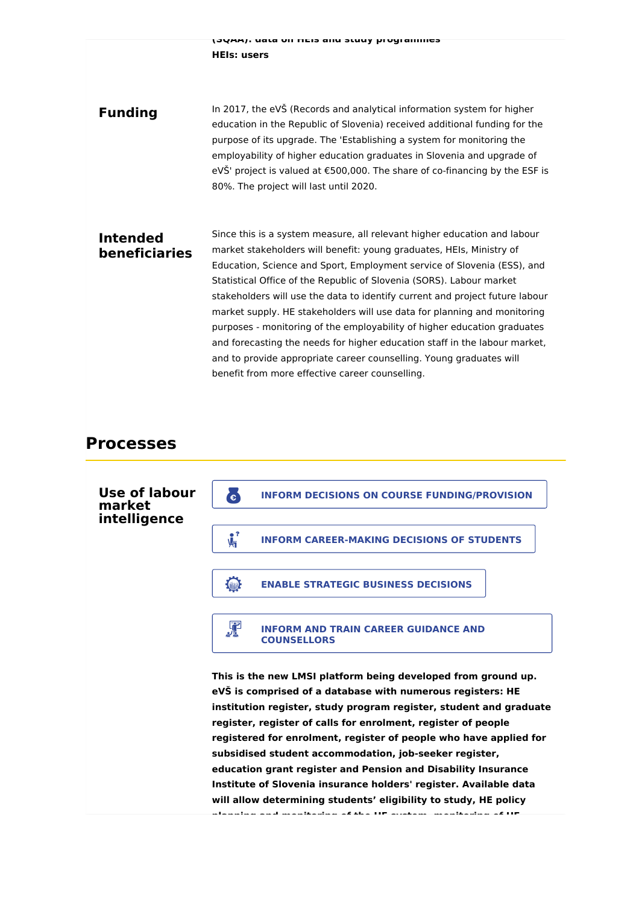**(SQAA): data on HEIs and study programmes HEIs: users**

**Funding** In 2017, the eVŠ (Records and analytical information system for higher education in the Republic of Slovenia) received additional funding for the purpose of its upgrade. The 'Establishing a system for monitoring the employability of higher education graduates in Slovenia and upgrade of eVŠ' project is valued at €500,000. The share of co-financing by the ESF is 80%. The project will last until 2020.

### **Intended beneficiaries**

Since this is a system measure, all relevant higher education and labour market stakeholders will benefit: young graduates, HEIs, Ministry of Education, Science and Sport, Employment service of Slovenia (ESS), and Statistical Office of the Republic of Slovenia (SORS). Labour market stakeholders will use the data to identify current and project future labour market supply. HE stakeholders will use data for planning and monitoring purposes - monitoring of the employability of higher education graduates and forecasting the needs for higher education staff in the labour market, and to provide appropriate career counselling. Young graduates will benefit from more effective career counselling.

### **Processes**

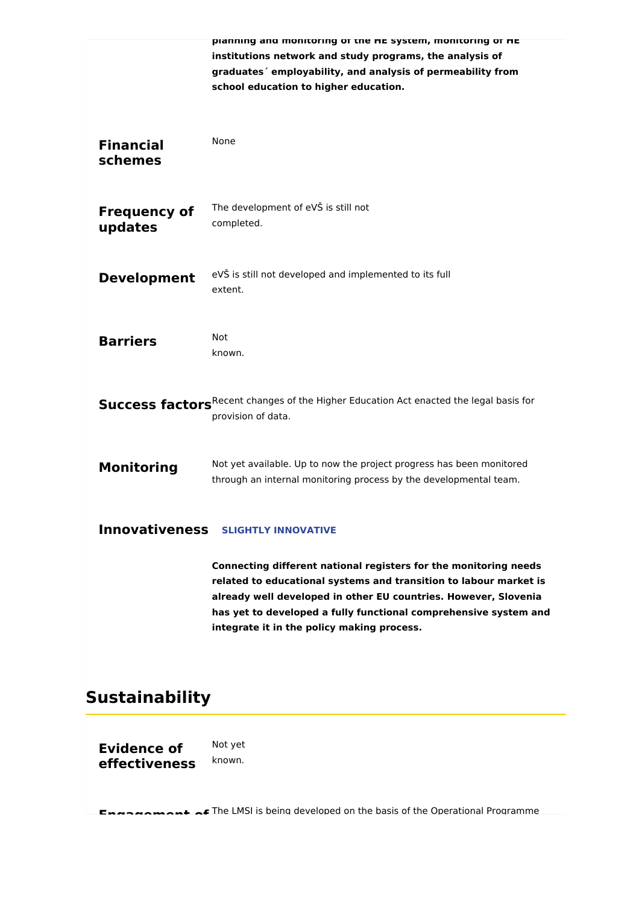|                                | planning and monitoring or the HE system, monitoring or HE<br>institutions network and study programs, the analysis of<br>graduates' employability, and analysis of permeability from<br>school education to higher education.                                                                                             |
|--------------------------------|----------------------------------------------------------------------------------------------------------------------------------------------------------------------------------------------------------------------------------------------------------------------------------------------------------------------------|
| <b>Financial</b><br>schemes    | None                                                                                                                                                                                                                                                                                                                       |
| <b>Frequency of</b><br>updates | The development of eVS is still not<br>completed.                                                                                                                                                                                                                                                                          |
| <b>Development</b>             | eVŠ is still not developed and implemented to its full<br>extent.                                                                                                                                                                                                                                                          |
| <b>Barriers</b>                | Not<br>known.                                                                                                                                                                                                                                                                                                              |
|                                | Success factors <sup>Recent</sup> changes of the Higher Education Act enacted the legal basis for<br>provision of data.                                                                                                                                                                                                    |
| <b>Monitoring</b>              | Not yet available. Up to now the project progress has been monitored<br>through an internal monitoring process by the developmental team.                                                                                                                                                                                  |
|                                | <b>Innovativeness SLIGHTLY INNOVATIVE</b>                                                                                                                                                                                                                                                                                  |
|                                | Connecting different national registers for the monitoring needs<br>related to educational systems and transition to labour market is<br>already well developed in other EU countries. However, Slovenia<br>has yet to developed a fully functional comprehensive system and<br>integrate it in the policy making process. |

# **Sustainability**

**Evidence of effectiveness** Not yet known.

**Engangement of** The LMSI is being developed on the basis of the Operational Programme